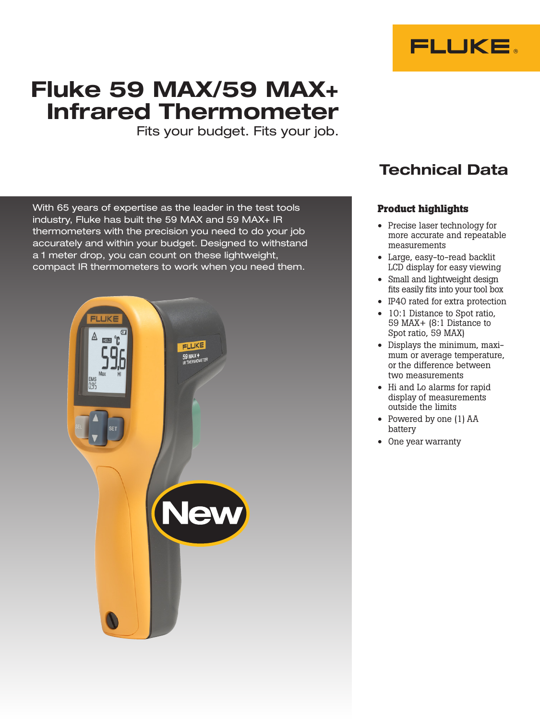

# Fluke 59 MAX/59 MAX+ Infrared Thermometer

Fits your budget. Fits your job.

With 65 years of expertise as the leader in the test tools industry, Fluke has built the 59 MAX and 59 MAX+ IR thermometers with the precision you need to do your job accurately and within your budget. Designed to withstand a 1 meter drop, you can count on these lightweight, compact IR thermometers to work when you need them.



## Technical Data

## **Product highlights**

- Precise laser technology for more accurate and repeatable measurements
- Large, easy-to-read backlit LCD display for easy viewing
- Small and lightweight design fits easily fits into your tool box
- IP40 rated for extra protection
- 10:1 Distance to Spot ratio, 59 MAX+ (8:1 Distance to Spot ratio, 59 MAX)
- Displays the minimum, maximum or average temperature, or the difference between two measurements
- Hi and Lo alarms for rapid display of measurements outside the limits
- Powered by one (1) AA battery
- One year warranty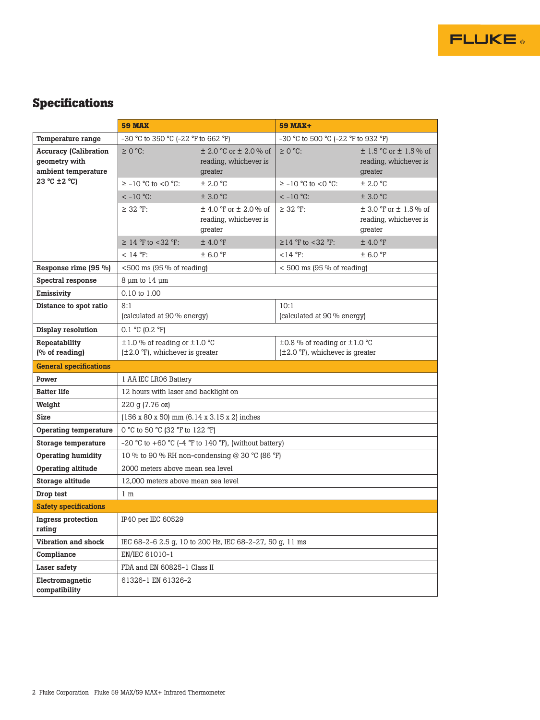

## **Specifications**

|                                                                      | <b>59 MAX</b>                                                                          |                                                                    | <b>59 MAX+</b>                                                                         |                                                                    |
|----------------------------------------------------------------------|----------------------------------------------------------------------------------------|--------------------------------------------------------------------|----------------------------------------------------------------------------------------|--------------------------------------------------------------------|
| Temperature range                                                    | -30 °C to 350 °C (-22 °F to 662 °F)                                                    |                                                                    | -30 °C to 500 °C (-22 °F to 932 °F)                                                    |                                                                    |
| <b>Accuracy (Calibration</b><br>geometry with<br>ambient temperature | $\geq$ 0 °C:                                                                           | $\pm$ 2.0 °C or $\pm$ 2.0 % of<br>reading, whichever is<br>greater | $\geq 0$ °C:                                                                           | $\pm$ 1.5 °C or $\pm$ 1.5 % of<br>reading, whichever is<br>greater |
| 23 °C ±2 °C)                                                         | $\geq$ -10 °C to <0 °C:                                                                | ± 2.0 °C                                                           | $\geq$ -10 °C to <0 °C:                                                                | ± 2.0 °C                                                           |
|                                                                      | $<-10$ °C:                                                                             | ± 3.0 °C                                                           | $<-10$ °C:                                                                             | ± 3.0 °C                                                           |
|                                                                      | $\geq$ 32 °F:                                                                          | $\pm$ 4.0 °F or $\pm$ 2.0 % of<br>reading, whichever is<br>greater | $\geq$ 32 °F:                                                                          | $\pm$ 3.0 °F or $\pm$ 1.5 % of<br>reading, whichever is<br>greater |
|                                                                      | $\geq$ 14 °F to <32 °F:                                                                | $±$ 4.0 °F                                                         | $\geq$ 14 °F to <32 °F:                                                                | $±$ 4.0 °F                                                         |
|                                                                      | $< 14 °F$ :                                                                            | ± 6.0 °F                                                           | $< 14 °F$ :                                                                            | $\pm$ 6.0 °F                                                       |
| Response rime (95 %)                                                 | $<$ 500 ms (95 % of reading)                                                           |                                                                    | $<$ 500 ms (95 % of reading)                                                           |                                                                    |
| Spectral response                                                    | $8 \mu m$ to $14 \mu m$                                                                |                                                                    |                                                                                        |                                                                    |
| Emissivity                                                           | 0.10 to 1.00                                                                           |                                                                    |                                                                                        |                                                                    |
| Distance to spot ratio                                               | 8:1<br>(calculated at 90 % energy)                                                     |                                                                    | 10:1<br>(calculated at 90 % energy)                                                    |                                                                    |
| Display resolution                                                   | $0.1 \text{ °C}$ (0.2 $\text{ °F}$ )                                                   |                                                                    |                                                                                        |                                                                    |
| Repeatability<br>(% of reading)                                      | $\pm 1.0$ % of reading or $\pm 1.0$ °C<br>$(\pm 2.0 \degree F)$ , whichever is greater |                                                                    | $\pm 0.8$ % of reading or $\pm 1.0$ °C<br>$(\pm 2.0 \degree F)$ , whichever is greater |                                                                    |
| <b>General specifications</b>                                        |                                                                                        |                                                                    |                                                                                        |                                                                    |
| Power                                                                | 1 AA IEC LRO6 Battery                                                                  |                                                                    |                                                                                        |                                                                    |
| <b>Batter life</b>                                                   | 12 hours with laser and backlight on                                                   |                                                                    |                                                                                        |                                                                    |
| Weight                                                               | 220 g (7.76 oz)                                                                        |                                                                    |                                                                                        |                                                                    |
| <b>Size</b>                                                          | $(156 \times 80 \times 50)$ mm $(6.14 \times 3.15 \times 2)$ inches                    |                                                                    |                                                                                        |                                                                    |
| Operating temperature                                                | 0 °C to 50 °C (32 °F to 122 °F)                                                        |                                                                    |                                                                                        |                                                                    |
| Storage temperature                                                  | -20 °C to +60 °C (-4 °F to 140 °F), (without battery)                                  |                                                                    |                                                                                        |                                                                    |
| Operating humidity                                                   | 10 % to 90 % RH non-condensing @ 30 °C (86 °F)                                         |                                                                    |                                                                                        |                                                                    |
| Operating altitude                                                   | 2000 meters above mean sea level                                                       |                                                                    |                                                                                        |                                                                    |
| Storage altitude                                                     | 12,000 meters above mean sea level                                                     |                                                                    |                                                                                        |                                                                    |
| Drop test                                                            | 1 <sub>m</sub>                                                                         |                                                                    |                                                                                        |                                                                    |
| <b>Safety specifications</b>                                         |                                                                                        |                                                                    |                                                                                        |                                                                    |
| Ingress protection<br>rating                                         | IP40 per IEC 60529                                                                     |                                                                    |                                                                                        |                                                                    |
| Vibration and shock                                                  | IEC 68-2-6 2.5 g, 10 to 200 Hz, IEC 68-2-27, 50 g, 11 ms                               |                                                                    |                                                                                        |                                                                    |
| Compliance                                                           | EN/IEC 61010-1                                                                         |                                                                    |                                                                                        |                                                                    |
| Laser safety                                                         | FDA and EN 60825-1 Class II                                                            |                                                                    |                                                                                        |                                                                    |
| Electromagnetic<br>compatibility                                     | 61326-1 EN 61326-2                                                                     |                                                                    |                                                                                        |                                                                    |